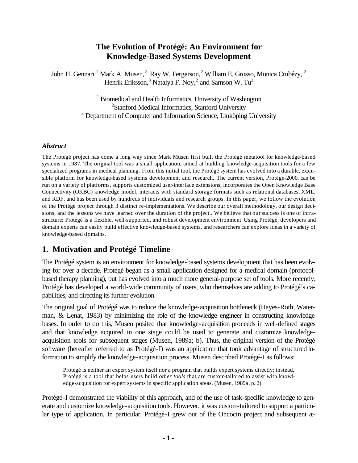## **The Evolution of Protégé: An Environment for Knowledge-Based Systems Development**

John H. Gennari, <sup>1</sup> Mark A. Musen, <sup>2</sup> Ray W. Fergerson, <sup>2</sup> William E. Grosso, Monica Crubézy, <sup>2</sup> Henrik Eriksson,<sup>3</sup> Natalya F. Noy,<sup>2</sup> and Samson W. Tu<sup>2</sup>

> <sup>1</sup> Biomedical and Health Informatics, University of Washington <sup>2</sup>Stanford Medical Informatics, Stanford University <sup>3</sup> Department of Computer and Information Science, Linköping University

#### *Abstract*

The Protégé project has come a long way since Mark Musen first built the Protégé metatool for knowledge-based systems in 1987. The original tool was a small application, aimed at building knowledge-acquisition tools for a few specialized programs in medical planning. From this initial tool, the Protégé system has evolved into a durable, extensible platform for knowledge-based systems development and research. The current version, Protégé-2000, can be run on a variety of platforms, supports customized user-interface extensions, incorporates the Open Knowledge Base Connectivity (OKBC) knowledge model, interacts with standard storage formats such as relational databases, XML, and RDF, and has been used by hundreds of individuals and research groups. In this paper, we follow the evolution of the Protégé project through 3 distinct re-implementations. We describe our overall methodology, our design decisions, and the lessons we have learned over the duration of the project.. We believe that our success is one of infrastructure: Protégé is a flexible, well-supported, and robust development environment. Using Protégé, developers and domain experts can easily build effective knowledge-based systems, and researchers can explore ideas in a variety of knowledge-based domains.

## **1. Motivation and Protégé Timeline**

The Protégé system is an environment for knowledge-based systems development that has been evolving for over a decade. Protégé began as a small application designed for a medical domain (protocolbased therapy planning), but has evolved into a much more general-purpose set of tools. More recently, Protégé has developed a world-wide community of users, who themselves are adding to Protégé's capabilities, and directing its further evolution.

The original goal of Protégé was to reduce the knowledge-acquisition bottleneck (Hayes-Roth, Waterman, & Lenat, 1983) by minimizing the role of the knowledge engineer in constructing knowledge bases. In order to do this, Musen posited that knowledge-acquisition proceeds in well-defined stages and that knowledge acquired in one stage could be used to generate and customize knowledgeacquisition tools for subsequent stages (Musen, 1989a; b). Thus, the original version of the Protégé software (hereafter referred to as Protégé-I) was an application that took advantage of structured information to simplify the knowledge-acquisition process. Musen described Protégé-I as follows:

Protégé is neither an expert system itself nor a program that builds expert systems directly; instead, Protégé is a tool that helps users build *other tools* that are custom-tailored to assist with knowledge-acquisition for expert systems in specific application areas. (Musen, 1989a, p. 2)

Protégé-I demonstrated the viability of this approach, and of the use of task-specific knowledge to generate and customize knowledge-acquisition tools. However, it was custom-tailored to support a particular type of application. In particular, Protégé-I grew out of the Oncocin project and subsequent at-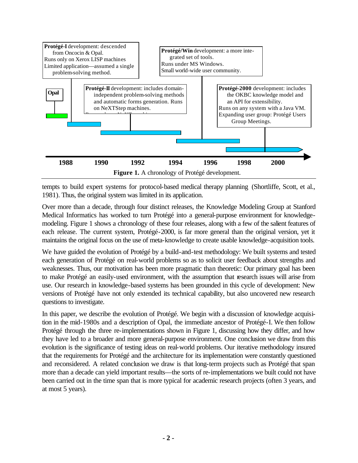

tempts to build expert systems for protocol-based medical therapy planning (Shortliffe, Scott, et al., 1981). Thus, the original system was limited in its application.

Over more than a decade, through four distinct releases, the Knowledge Modeling Group at Stanford Medical Informatics has worked to turn Protégé into a general-purpose environment for knowledgemodeling. Figure 1 shows a chronology of these four releases, along with a few of the salient features of each release. The current system, Protégé-2000, is far more general than the original version, yet it maintains the original focus on the use of meta-knowledge to create usable knowledge-acquisition tools.

We have guided the evolution of Protégé by a build-and-test methodology: We built systems and tested each generation of Protégé on real-world problems so as to solicit user feedback about strengths and weaknesses. Thus, our motivation has been more pragmatic than theoretic: Our primary goal has been to make Protégé an easily-used environment, with the assumption that research issues will arise from use. Our research in knowledge-based systems has been grounded in this cycle of development: New versions of Protégé have not only extended its technical capability, but also uncovered new research questions to investigate.

In this paper, we describe the evolution of Protégé. We begin with a discussion of knowledge acquisition in the mid-1980s and a description of Opal, the immediate ancestor of Protégé-I. We then follow Protégé through the three re-implementations shown in Figure 1, discussing how they differ, and how they have led to a broader and more general-purpose environment. One conclusion we draw from this evolution is the significance of testing ideas on real-world problems. Our iterative methodology insured that the requirements for Protégé and the architecture for its implementation were constantly questioned and reconsidered. A related conclusion we draw is that long-term projects such as Protégé that span more than a decade can yield important results—the sorts of re-implementations we built could not have been carried out in the time span that is more typical for academic research projects (often 3 years, and at most 5 years).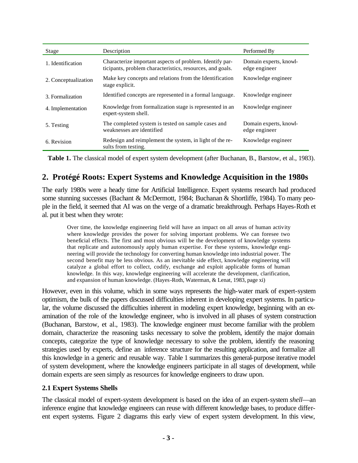| Stage                | Description                                                                                                           | Performed By                            |
|----------------------|-----------------------------------------------------------------------------------------------------------------------|-----------------------------------------|
| 1. Identification    | Characterize important aspects of problem. Identify par-<br>ticipants, problem characteristics, resources, and goals. | Domain experts, knowl-<br>edge engineer |
| 2. Conceptualization | Make key concepts and relations from the Identification<br>stage explicit.                                            | Knowledge engineer                      |
| 3. Formalization     | Identified concepts are represented in a formal language.                                                             | Knowledge engineer                      |
| 4. Implementation    | Knowledge from formalization stage is represented in an<br>expert-system shell.                                       | Knowledge engineer                      |
| 5. Testing           | The completed system is tested on sample cases and<br>weaknesses are identified                                       | Domain experts, knowl-<br>edge engineer |
| 6. Revision          | Redesign and reimplement the system, in light of the re-<br>sults from testing.                                       | Knowledge engineer                      |

**Table 1.** The classical model of expert system development (after Buchanan, B., Barstow, et al., 1983).

# **2. Protégé Roots: Expert Systems and Knowledge Acquisition in the 1980s**

The early 1980s were a heady time for Artificial Intelligence. Expert systems research had produced some stunning successes (Bachant & McDermott, 1984; Buchanan & Shortliffe, 1984). To many people in the field, it seemed that AI was on the verge of a dramatic breakthrough. Perhaps Hayes-Roth et al. put it best when they wrote:

Over time, the knowledge engineering field will have an impact on all areas of human activity where knowledge provides the power for solving important problems. We can foresee two beneficial effects. The first and most obvious will be the development of knowledge systems that replicate and autonomously apply human expertise. For these systems, knowledge engineering will provide the technology for converting human knowledge into industrial power. The second benefit may be less obvious. As an inevitable side effect, knowledge engineering will catalyze a global effort to collect, codify, exchange and exploit applicable forms of human knowledge. In this way, knowledge engineering will accelerate the development, clarification, and expansion of human knowledge. (Hayes-Roth, Waterman, & Lenat, 1983, page xi)

However, even in this volume, which in some ways represents the high-water mark of expert-system optimism, the bulk of the papers discussed difficulties inherent in developing expert systems. In particular, the volume discussed the difficulties inherent in modeling expert knowledge, beginning with an examination of the role of the knowledge engineer, who is involved in all phases of system construction (Buchanan, Barstow, et al., 1983). The knowledge engineer must become familiar with the problem domain, characterize the reasoning tasks necessary to solve the problem, identify the major domain concepts, categorize the type of knowledge necessary to solve the problem, identify the reasoning strategies used by experts, define an inference structure for the resulting application, and formalize all this knowledge in a generic and reusable way. Table 1 summarizes this general-purpose iterative model of system development, where the knowledge engineers participate in all stages of development, while domain experts are seen simply as resources for knowledge engineers to draw upon.

### **2.1 Expert Systems Shells**

The classical model of expert-system development is based on the idea of an expert-system *shell*—an inference engine that knowledge engineers can reuse with different knowledge bases, to produce different expert systems. Figure 2 diagrams this early view of expert system development. In this view,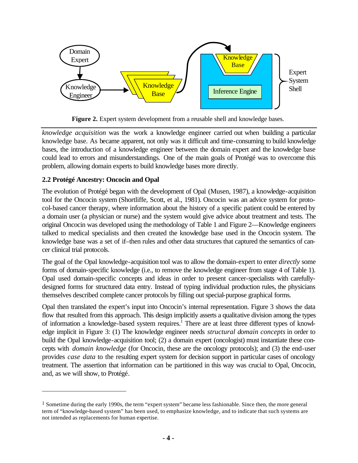

Figure 2. Expert system development from a reusable shell and knowledge bases.

*knowledge acquisition* was the work a knowledge engineer carried out when building a particular knowledge base. As became apparent, not only was it difficult and time-consuming to build knowledge bases, the introduction of a knowledge engineer between the domain expert and the knowledge base could lead to errors and misunderstandings. One of the main goals of Protégé was to overcome this problem, allowing domain experts to build knowledge bases more directly.

### **2.2 Protégé Ancestry: Oncocin and Opal**

 $\overline{a}$ 

The evolution of Protégé began with the development of Opal (Musen, 1987), a knowledge-acquisition tool for the Oncocin system (Shortliffe, Scott, et al., 1981). Oncocin was an advice system for protocol-based cancer therapy, where information about the history of a specific patient could be entered by a domain user (a physician or nurse) and the system would give advice about treatment and tests. The original Oncocin was developed using the methodology of Table 1 and Figure 2—Knowledge engineers talked to medical specialists and then created the knowledge base used in the Oncocin system. The knowledge base was a set of if–then rules and other data structures that captured the semantics of cancer clinical trial protocols.

The goal of the Opal knowledge-acquisition tool was to allow the domain-expert to enter *directly* some forms of domain-specific knowledge (i.e., to remove the knowledge engineer from stage 4 of Table 1). Opal used domain-specific concepts and ideas in order to present cancer-specialists with carefullydesigned forms for structured data entry. Instead of typing individual production rules, the physicians themselves described complete cancer protocols by filling out special-purpose graphical forms.

Opal then translated the expert's input into Oncocin's internal representation. Figure 3 shows the data flow that resulted from this approach. This design implicitly asserts a qualitative division among the types of information a knowledge-based system requires.<sup>1</sup> There are at least three different types of knowledge implicit in Figure 3: (1) The knowledge engineer needs *structural domain concepts* in order to build the Opal knowledge-acquisition tool; (2) a domain expert (oncologist) must instantiate these concepts with *domain knowledge* (for Oncocin, these are the oncology protocols); and (3) the end-user provides *case data* to the resulting expert system for decision support in particular cases of oncology treatment. The assertion that information can be partitioned in this way was crucial to Opal, Oncocin, and, as we will show, to Protégé.

<sup>&</sup>lt;sup>1</sup> Sometime during the early 1990s, the term "expert system" became less fashionable. Since then, the more general term of "knowledge-based system" has been used, to emphasize knowledge, and to indicate that such systems are not intended as replacements for human expertise.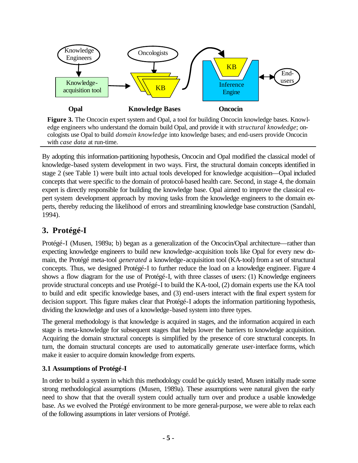

**Figure 3.** The Oncocin expert system and Opal, a tool for building Oncocin knowledge bases. Knowledge engineers who understand the domain build Opal, and provide it with *structural knowledge*; oncologists use Opal to build *domain knowledge* into knowledge bases; and end-users provide Oncocin with *case data* at run-time.

By adopting this information-partitioning hypothesis, Oncocin and Opal modified the classical model of knowledge-based system development in two ways. First, the structural domain concepts identified in stage 2 (see Table 1) were built into actual tools developed for knowledge acquisition—Opal included concepts that were specific to the domain of protocol-based health care. Second, in stage 4, the domain expert is directly responsible for building the knowledge base. Opal aimed to improve the classical expert system development approach by moving tasks from the knowledge engineers to the domain experts, thereby reducing the likelihood of errors and streamlining knowledge base construction (Sandahl, 1994).

# **3. Protégé-I**

Protégé-I (Musen, 1989a; b) began as a generalization of the Oncocin/Opal architecture—rather than expecting knowledge engineers to build new knowledge-acquisition tools like Opal for every new domain, the Protégé meta-tool *generated* a knowledge-acquisition tool (KA-tool) from a set of structural concepts. Thus, we designed Protégé-I to further reduce the load on a knowledge engineer. Figure 4 shows a flow diagram for the use of Protégé-I, with three classes of users: (1) Knowledge engineers provide structural concepts and use Protégé-I to build the KA-tool, (2) domain experts use the KA tool to build and edit specific knowledge bases, and (3) end-users interact with the final expert system for decision support. This figure makes clear that Protégé-I adopts the information partitioning hypothesis, dividing the knowledge and uses of a knowledge-based system into three types.

The general methodology is that knowledge is acquired in stages, and the information acquired in each stage is meta-knowledge for subsequent stages that helps lower the barriers to knowledge acquisition. Acquiring the domain structural concepts is simplified by the presence of core structural concepts. In turn, the domain structural concepts are used to automatically generate user-interface forms, which make it easier to acquire domain knowledge from experts.

## **3.1 Assumptions of Protégé-I**

In order to build a system in which this methodology could be quickly tested, Musen initially made some strong methodological assumptions (Musen, 1989a). These assumptions were natural given the early need to show that that the overall system could actually turn over and produce a usable knowledge base. As we evolved the Protégé environment to be more general-purpose, we were able to relax each of the following assumptions in later versions of Protégé.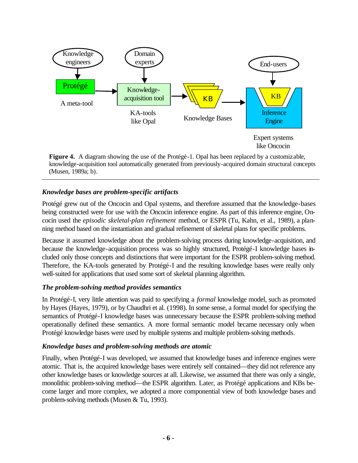

**Figure 4.** A diagram showing the use of the Protégé-1. Opal has been replaced by a customizable, knowledge-acquisition tool automatically generated from previously-acquired domain structural concepts (Musen, 1989a; b).

## *Knowledge bases are problem-specific artifacts*

Protégé grew out of the Oncocin and Opal systems, and therefore assumed that the knowledge-bases being constructed were for use with the Oncocin inference engine. As part of this inference engine, Oncocin used the *episodic skeletal-plan refinement* method, or ESPR (Tu, Kahn, et al., 1989), a planning method based on the instantiation and gradual refinement of skeletal plans for specific problems.

Because it assumed knowledge about the problem-solving process during knowledge-acquisition, and because the knowledge-acquisition process was so highly structured, Protégé-I knowledge bases included only those concepts and distinctions that were important for the ESPR problem-solving method. Therefore, the KA-tools generated by Protégé-I and the resulting knowledge bases were really only well-suited for applications that used some sort of skeletal planning algorithm.

### *The problem-solving method provides semantics*

In Protégé-I, very little attention was paid to specifying a *formal* knowledge model, such as promoted by Hayes (Hayes, 1979), or by Chaudhri et al. (1998). In some sense, a formal model for specifying the semantics of Protégé-I knowledge bases was unnecessary because the ESPR problem-solving method operationally defined these semantics. A more formal semantic model became necessary only when Protégé knowledge bases were used by multiple systems and multiple problem-solving methods.

### *Knowledge bases and problem-solving methods are atomic*

Finally, when Protégé-I was developed, we assumed that knowledge bases and inference engines were atomic. That is, the acquired knowledge bases were entirely self contained—they did not reference any other knowledge bases or knowledge sources at all. Likewise, we assumed that there was only a single, monolithic problem-solving method—the ESPR algorithm. Later, as Protégé applications and KBs become larger and more complex, we adopted a more componential view of both knowledge bases and problem-solving methods (Musen & Tu, 1993).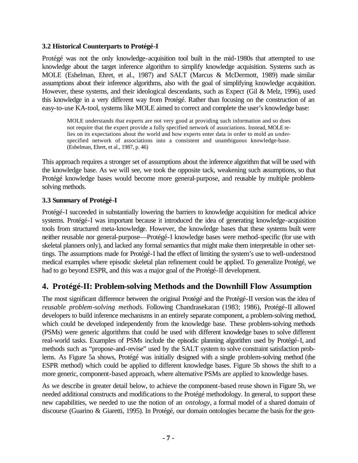### **3.2 Historical Counterparts to Protégé-I**

Protégé was not the only knowledge-acquisition tool built in the mid-1980s that attempted to use knowledge about the target inference algorithm to simplify knowledge acquisition. Systems such as MOLE (Eshelman, Ehret, et al., 1987) and SALT (Marcus & McDermott, 1989) made similar assumptions about their inference algorithms, also with the goal of simplifying knowledge acquisition. However, these systems, and their ideological descendants, such as Expect (Gil & Melz, 1996), used this knowledge in a very different way from Protégé. Rather than focusing on the construction of an easy-to-use KA-tool, systems like MOLE aimed to correct and complete the user's knowledge base:

MOLE understands that experts are not very good at providing such information and so does not require that the expert provide a fully specified network of associations. Instead, MOLE relies on its expectations about the world and how experts enter data in order to mold an underspecified network of associations into a consistent and unambiguous knowledge-base. (Eshelman, Ehret, et al., 1987, p. 46)

This approach requires a stronger set of assumptions about the inference algorithm that will be used with the knowledge base. As we will see, we took the opposite tack, weakening such assumptions, so that Protégé knowledge bases would become more general-purpose, and reusable by multiple problemsolving methods.

### **3.3 Summary of Protégé-I**

Protégé-I succeeded in substantially lowering the barriers to knowledge acquisition for medical advice systems. Protégé-I was important because it introduced the idea of generating knowledge-acquisition tools from structured meta-knowledge. However, the knowledge bases that these systems built were neither reusable nor general-purpose—Protégé-I knowledge bases were method-specific (for use with skeletal planners only), and lacked any formal semantics that might make them interpretable in other settings. The assumptions made for Protégé-I had the effect of limiting the system's use to well-understood medical examples where episodic skeletal plan refinement could be applied. To generalize Protégé, we had to go beyond ESPR, and this was a major goal of the Protégé-II development.

# **4. Protégé-II: Problem-solving Methods and the Downhill Flow Assumption**

The most significant difference between the original Protégé and the Protégé-II version was the idea of *reusable problem-solving methods*. Following Chandrasekaran (1983; 1986), Protégé-II allowed developers to build inference mechanisms in an entirely separate component, a problem-solving method, which could be developed independently from the knowledge base. These problem-solving methods (PSMs) were generic algorithms that could be used with different knowledge bases to solve different real-world tasks. Examples of PSMs include the episodic planning algorithm used by Protégé-I, and methods such as "propose-and-revise" used by the SALT system to solve constraint satisfaction problems. As Figure 5a shows, Protégé was initially designed with a single problem-solving method (the ESPR method) which could be applied to different knowledge bases. Figure 5b shows the shift to a more generic, component-based approach, where alternative PSMs are applied to knowledge bases.

As we describe in greater detail below, to achieve the component-based reuse shown in Figure 5b, we needed additional constructs and modifications to the Protégé methodology. In general, to support these new capabilities, we needed to use the notion of an *ontology*, a formal model of a shared domain of discourse (Guarino & Giaretti, 1995). In Protégé, our domain ontologies became the basis for the gen-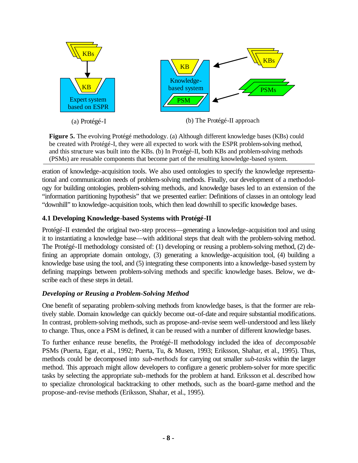

**Figure 5.** The evolving Protégé methodology. (a) Although different knowledge bases (KBs) could be created with Protégé-I, they were all expected to work with the ESPR problem-solving method, and this structure was built into the KBs. (b) In Protégé-II, both KBs and problem-solving methods (PSMs) are reusable components that become part of the resulting knowledge-based system.

eration of knowledge-acquisition tools. We also used ontologies to specify the knowledge representational and communication needs of problem-solving methods. Finally, our development of a methodology for building ontologies, problem-solving methods, and knowledge bases led to an extension of the "information partitioning hypothesis" that we presented earlier: Definitions of classes in an ontology lead "downhill" to knowledge-acquisition tools, which then lead downhill to specific knowledge bases.

### **4.1 Developing Knowledge-based Systems with Protégé-II**

Protégé-II extended the original two-step process—generating a knowledge-acquisition tool and using it to instantiating a knowledge base—with additional steps that dealt with the problem-solving method. The Protégé-II methodology consisted of: (1) developing or reusing a problem-solving method, (2) defining an appropriate domain ontology, (3) generating a knowledge-acquisition tool, (4) building a knowledge base using the tool, and (5) integrating these components into a knowledge-based system by defining mappings between problem-solving methods and specific knowledge bases. Below, we describe each of these steps in detail.

### *Developing or Reusing a Problem-Solving Method*

One benefit of separating problem-solving methods from knowledge bases, is that the former are relatively stable. Domain knowledge can quickly become out-of-date and require substantial modifications. In contrast, problem-solving methods, such as propose-and-revise seem well-understood and less likely to change. Thus, once a PSM is defined, it can be reused with a number of different knowledge bases.

To further enhance reuse benefits, the Protégé-II methodology included the idea of *decomposable* PSMs (Puerta, Egar, et al., 1992; Puerta, Tu, & Musen, 1993; Eriksson, Shahar, et al., 1995). Thus, methods could be decomposed into *sub-methods* for carrying out smaller *sub-tasks* within the larger method. This approach might allow developers to configure a generic problem-solver for more specific tasks by selecting the appropriate sub-methods for the problem at hand. Eriksson et al. described how to specialize chronological backtracking to other methods, such as the board-game method and the propose-and-revise methods (Eriksson, Shahar, et al., 1995).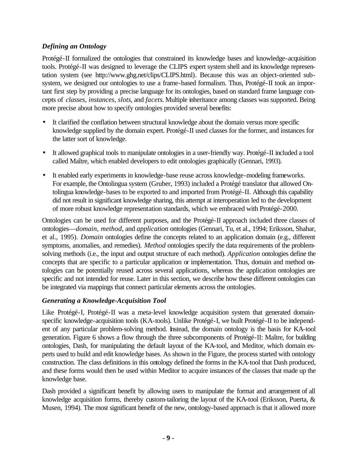## *Defining an Ontology*

Protégé-II formalized the ontologies that constrained its knowledge bases and knowledge-acquisition tools. Protégé-II was designed to leverage the CLIPS expert system shell and its knowledge representation system (see http://www.ghg.net/clips/CLIPS.html). Because this was an object-oriented subsystem, we designed our ontologies to use a frame-based formalism. Thus, Protégé-II took an important first step by providing a precise language for its ontologies, based on standard frame language concepts of *classes*, *instances*, *slots*, and *facets*. Multiple inheritance among classes was supported. Being more precise about how to specify ontologies provided several benefits:

- It clarified the conflation between structural knowledge about the domain versus more specific knowledge supplied by the domain expert. Protégé-II used classes for the former, and instances for the latter sort of knowledge.
- It allowed graphical tools to manipulate ontologies in a user-friendly way. Protégé-II included a tool called Maître, which enabled developers to edit ontologies graphically (Gennari, 1993).
- It enabled early experiments in knowledge-base reuse across knowledge-modeling frameworks. For example, the Ontolingua system (Gruber, 1993) included a Protégé translator that allowed Ontolingua knowledge-bases to be exported to and imported from Protégé-II. Although this capability did not result in significant knowledge sharing, this attempt at interoperation led to the development of more robust knowledge representation standards, which we embraced with Protégé-2000.

Ontologies can be used for different purposes, and the Protégé-II approach included three classes of ontologies—*domain*, *method*, and *application* ontologies (Gennari, Tu, et al., 1994; Eriksson, Shahar, et al., 1995). *Domain* ontologies define the concepts related to an application domain (e.g., different symptoms, anomalies, and remedies). *Method* ontologies specify the data requirements of the problemsolving methods (i.e., the input and output structure of each method). *Application* ontologies define the concepts that are specific to a particular application or implementation. Thus, domain and method ontologies can be potentially reused across several applications, whereas the application ontologies are specific and not intended for reuse. Later in this section, we describe how these different ontologies can be integrated via mappings that connect particular elements across the ontologies.

## *Generating a Knowledge-Acquisition Tool*

Like Protégé-I, Protégé-II was a meta-level knowledge acquisition system that generated domainspecific knowledge-acquisition tools (KA-tools). Unlike Protégé-I, we built Protégé-II to be independent of any particular problem-solving method. Instead, the domain ontology is the basis for KA-tool generation. Figure 6 shows a flow through the three subcomponents of Protégé-II: Maître, for building ontologies, Dash, for manipulating the default layout of the KA-tool, and Meditor, which domain experts used to build and edit knowledge bases. As shown in the Figure, the process started with ontology construction. The class definitions in this ontology defined the forms in the KA-tool that Dash produced, and these forms would then be used within Meditor to acquire instances of the classes that made up the knowledge base.

Dash provided a significant benefit by allowing users to manipulate the format and arrangement of all knowledge acquisition forms, thereby custom-tailoring the layout of the KA-tool (Eriksson, Puerta, & Musen, 1994). The most significant benefit of the new, ontology-based approach is that it allowed more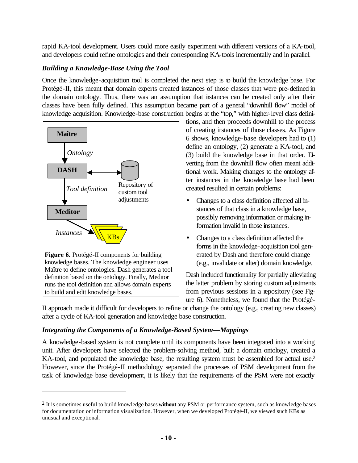rapid KA-tool development. Users could more easily experiment with different versions of a KA-tool, and developers could refine ontologies and their corresponding KA-tools incrementally and in parallel.

### *Building a Knowledge-Base Using the Tool*

Once the knowledge-acquisition tool is completed the next step is to build the knowledge base. For Protégé-II, this meant that domain experts created instances of those classes that were pre-defined in the domain ontology. Thus, there was an assumption that instances can be created only after their classes have been fully defined. This assumption became part of a general "downhill flow" model of knowledge acquisition. Knowledge-base construction begins at the "top," with higher-level class defini-



**Figure 6.** Protégé-II components for building knowledge bases. The knowledge engineer uses Maître to define ontologies. Dash generates a tool definition based on the ontology. Finally, Meditor runs the tool definition and allows domain experts to build and edit knowledge bases.

 $\overline{a}$ 

tions, and then proceeds downhill to the process of creating instances of those classes. As Figure 6 shows, knowledge-base developers had to (1) define an ontology, (2) generate a KA-tool, and (3) build the knowledge base in that order. Diverting from the downhill flow often meant additional work. Making changes to the ontology after instances in the knowledge base had been created resulted in certain problems:

- Changes to a class definition affected all instances of that class in a knowledge base, possibly removing information or making information invalid in those instances.
- Changes to a class definition affected the forms in the knowledge-acquisition tool generated by Dash and therefore could change (e.g., invalidate or alter) domain knowledge.

Dash included functionality for partially alleviating the latter problem by storing custom adjustments from previous sessions in a repository (see Figure 6). Nonetheless, we found that the Protégé-

II approach made it difficult for developers to refine or change the ontology (e.g., creating new classes) after a cycle of KA-tool generation and knowledge base construction.

## *Integrating the Components of a Knowledge-Based System—Mappings*

A knowledge-based system is not complete until its components have been integrated into a working unit. After developers have selected the problem-solving method, built a domain ontology, created a KA-tool, and populated the knowledge base, the resulting system must be assembled for actual use.<sup>2</sup> However, since the Protégé-II methodology separated the processes of PSM development from the task of knowledge base development, it is likely that the requirements of the PSM were not exactly

<sup>2</sup> It is sometimes useful to build knowledge bases **without** any PSM or performance system, such as knowledge bases for documentation or information visualization. However, when we developed Protégé-II, we viewed such KBs as unusual and exceptional.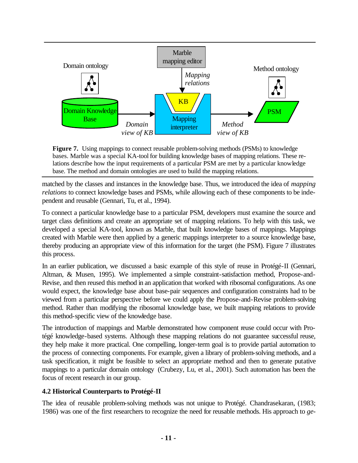

**Figure 7.** Using mappings to connect reusable problem-solving methods (PSMs) to knowledge bases. Marble was a special KA-tool for building knowledge bases of mapping relations. These relations describe how the input requirements of a particular PSM are met by a particular knowledge base. The method and domain ontologies are used to build the mapping relations.

matched by the classes and instances in the knowledge base. Thus, we introduced the idea of *mapping relations* to connect knowledge bases and PSMs, while allowing each of these components to be independent and reusable (Gennari, Tu, et al., 1994).

To connect a particular knowledge base to a particular PSM, developers must examine the source and target class definitions and create an appropriate set of mapping relations. To help with this task, we developed a special KA-tool, known as Marble, that built knowledge bases of mappings. Mappings created with Marble were then applied by a generic mappings interpreter to a source knowledge base, thereby producing an appropriate view of this information for the target (the PSM). Figure 7 illustrates this process.

In an earlier publication, we discussed a basic example of this style of reuse in Protégé-II (Gennari, Altman, & Musen, 1995). We implemented a simple constraint-satisfaction method, Propose-and-Revise, and then reused this method in an application that worked with ribosomal configurations. As one would expect, the knowledge base about base-pair sequences and configuration constraints had to be viewed from a particular perspective before we could apply the Propose-and-Revise problem-solving method. Rather than modifying the ribosomal knowledge base, we built mapping relations to provide this method-specific view of the knowledge base.

The introduction of mappings and Marble demonstrated how component reuse could occur with Protégé knowledge-based systems. Although these mapping relations do not guarantee successful reuse, they help make it more practical. One compelling, longer-term goal is to provide partial automation to the process of connecting components. For example, given a library of problem-solving methods, and a task specification, it might be feasible to select an appropriate method and then to generate putative mappings to a particular domain ontology (Crubezy, Lu, et al., 2001). Such automation has been the focus of recent research in our group.

### **4.2 Historical Counterparts to Protégé-II**

The idea of reusable problem-solving methods was not unique to Protégé. Chandrasekaran, (1983; 1986) was one of the first researchers to recognize the need for reusable methods. His approach to *ge-*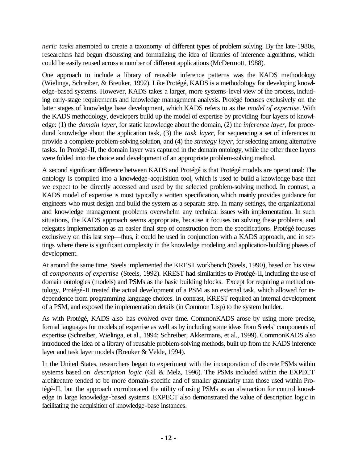*neric tasks* attempted to create a taxonomy of different types of problem solving. By the late-1980s, researchers had begun discussing and formalizing the idea of libraries of inference algorithms, which could be easily reused across a number of different applications (McDermott, 1988).

One approach to include a library of reusable inference patterns was the KADS methodology (Wielinga, Schreiber, & Breuker, 1992). Like Protégé, KADS is a methodology for developing knowledge-based systems. However, KADS takes a larger, more systems-level view of the process, including early-stage requirements and knowledge management analysis. Protégé focuses exclusively on the latter stages of knowledge base development, which KADS refers to as the *model of expertise*. With the KADS methodology, developers build up the model of expertise by providing four layers of knowledge: (1) the *domain layer*, for static knowledge about the domain, (2) the *inference layer*, for procedural knowledge about the application task, (3) the *task layer*, for sequencing a set of inferences to provide a complete problem-solving solution, and (4) the *strategy layer*, for selecting among alternative tasks. In Protégé-II, the domain layer was captured in the domain ontology, while the other three layers were folded into the choice and development of an appropriate problem-solving method.

A second significant difference between KADS and Protégé is that Protégé models are operational: The ontology is compiled into a knowledge-acquisition tool, which is used to build a knowledge base that we expect to be directly accessed and used by the selected problem-solving method. In contrast, a KADS model of expertise is most typically a written specification, which mainly provides guidance for engineers who must design and build the system as a separate step. In many settings, the organizational and knowledge management problems overwhelm any technical issues with implementation. In such situations, the KADS approach seems appropriate, because it focuses on solving these problems, and relegates implementation as an easier final step of construction from the specifications. Protégé focuses exclusively on this last step—thus, it could be used in conjunction with a KADS approach, and in settings where there is significant complexity in the knowledge modeling and application-building phases of development.

At around the same time, Steels implemented the KREST workbench (Steels, 1990), based on his view of *components of expertise* (Steels, 1992). KREST had similarities to Protégé-II, including the use of domain ontologies (models) and PSMs as the basic building blocks. Except for requiring a method ontology, Protégé-II treated the actual development of a PSM as an external task, which allowed for independence from programming language choices. In contrast, KREST required an internal development of a PSM, and exposed the implementation details (in Common Lisp) to the system builder.

As with Protégé, KADS also has evolved over time. CommonKADS arose by using more precise, formal languages for models of expertise as well as by including some ideas from Steels' components of expertise (Schreiber, Wielinga, et al., 1994; Schreiber, Akkermans, et al., 1999). CommonKADS also introduced the idea of a library of reusable problem-solving methods, built up from the KADS inference layer and task layer models (Breuker & Velde, 1994).

In the United States, researchers began to experiment with the incorporation of discrete PSMs within systems based on *description logic* (Gil & Melz, 1996). The PSMs included within the EXPECT architecture tended to be more domain-specific and of smaller granularity than those used within Protégé-II, but the approach corroborated the utility of using PSMs as an abstraction for control knowledge in large knowledge-based systems. EXPECT also demonstrated the value of description logic in facilitating the acquisition of knowledge-base instances.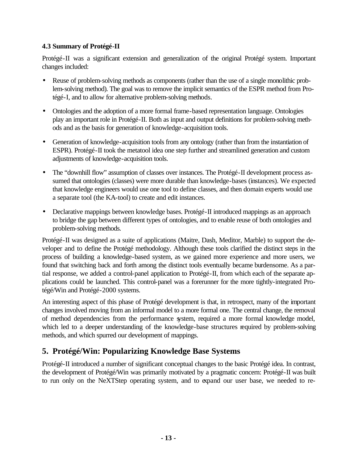### **4.3 Summary of Protégé-II**

Protégé-II was a significant extension and generalization of the original Protégé system. Important changes included:

- Reuse of problem-solving methods as components (rather than the use of a single monolithic problem-solving method). The goal was to remove the implicit semantics of the ESPR method from Protégé-I, and to allow for alternative problem-solving methods.
- Ontologies and the adoption of a more formal frame-based representation language. Ontologies play an important role in Protégé-II. Both as input and output definitions for problem-solving methods and as the basis for generation of knowledge-acquisition tools.
- Generation of knowledge-acquisition tools from any ontology (rather than from the instantiation of ESPR). Protégé-II took the metatool idea one step further and streamlined generation and custom adjustments of knowledge-acquisition tools.
- The "downhill flow" assumption of classes over instances. The Protégé-II development process assumed that ontologies (classes) were more durable than knowledge-bases (instances). We expected that knowledge engineers would use one tool to define classes, and then domain experts would use a separate tool (the KA-tool) to create and edit instances.
- Declarative mappings between knowledge bases. Protégé-II introduced mappings as an approach to bridge the gap between different types of ontologies, and to enable reuse of both ontologies and problem-solving methods.

Protégé-II was designed as a suite of applications (Maitre, Dash, Meditor, Marble) to support the developer and to define the Protégé methodology. Although these tools clarified the distinct steps in the process of building a knowledge-based system, as we gained more experience and more users, we found that switching back and forth among the distinct tools eventually became burdensome. As a partial response, we added a control-panel application to Protégé-II, from which each of the separate applications could be launched. This control-panel was a forerunner for the more tightly-integrated Protégé/Win and Protégé-2000 systems.

An interesting aspect of this phase of Protégé development is that, in retrospect, many of the important changes involved moving from an informal model to a more formal one. The central change, the removal of method dependencies from the performance system, required a more formal knowledge model, which led to a deeper understanding of the knowledge-base structures required by problem-solving methods, and which spurred our development of mappings.

# **5. Protégé/Win: Popularizing Knowledge Base Systems**

Protégé-II introduced a number of significant conceptual changes to the basic Protégé idea. In contrast, the development of Protégé/Win was primarily motivated by a pragmatic concern: Protégé-II was built to run only on the NeXTStep operating system, and to expand our user base, we needed to re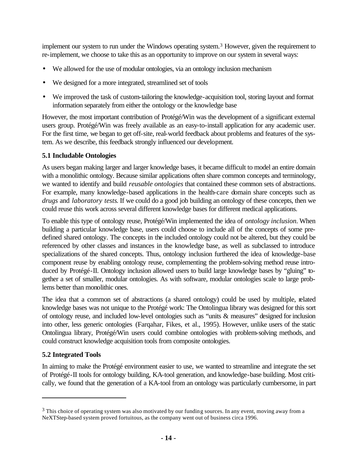implement our system to run under the Windows operating system.3 However, given the requirement to re-implement, we choose to take this as an opportunity to improve on our system in several ways:

- We allowed for the use of modular ontologies, via an ontology inclusion mechanism
- We designed for a more integrated, streamlined set of tools
- We improved the task of custom-tailoring the knowledge-acquisition tool, storing layout and format information separately from either the ontology or the knowledge base

However, the most important contribution of Protégé/Win was the development of a significant external users group. Protégé/Win was freely available as an easy-to-install application for any academic user. For the first time, we began to get off-site, real-world feedback about problems and features of the system. As we describe, this feedback strongly influenced our development.

### **5.1 Includable Ontologies**

As users began making larger and larger knowledge bases, it became difficult to model an entire domain with a monolithic ontology. Because similar applications often share common concepts and terminology, we wanted to identify and build *reusable ontologies* that contained these common sets of abstractions. For example, many knowledge-based applications in the health-care domain share concepts such as *drugs* and *laboratory tests*. If we could do a good job building an ontology of these concepts, then we could reuse this work across several different knowledge bases for different medical applications.

To enable this type of ontology reuse, Protégé/Win implemented the idea of *ontology inclusion*. When building a particular knowledge base, users could choose to include all of the concepts of some predefined shared ontology. The concepts in the included ontology could not be altered, but they could be referenced by other classes and instances in the knowledge base, as well as subclassed to introduce specializations of the shared concepts. Thus, ontology inclusion furthered the idea of knowledge-base component reuse by enabling ontology reuse, complementing the problem-solving method reuse introduced by Protégé-II. Ontology inclusion allowed users to build large knowledge bases by "gluing" together a set of smaller, modular ontologies. As with software, modular ontologies scale to large problems better than monolithic ones.

The idea that a common set of abstractions (a shared ontology) could be used by multiple, related knowledge bases was not unique to the Protégé work: The Ontolingua library was designed for this sort of ontology reuse, and included low-level ontologies such as "units & measures" designed for inclusion into other, less generic ontologies (Farqahar, Fikes, et al., 1995). However, unlike users of the static Ontolingua library, Protégé/Win users could combine ontologies with problem-solving methods, and could construct knowledge acquisition tools from composite ontologies.

### **5.2 Integrated Tools**

 $\overline{a}$ 

In aiming to make the Protégé environment easier to use, we wanted to streamline and integrate the set of Protégé-II tools for ontology building, KA-tool generation, and knowledge-base building. Most critically, we found that the generation of a KA-tool from an ontology was particularly cumbersome, in part

<sup>&</sup>lt;sup>3</sup> This choice of operating system was also motivated by our funding sources. In any event, moving away from a NeXTStep-based system proved fortuitous, as the company went out of business circa 1996.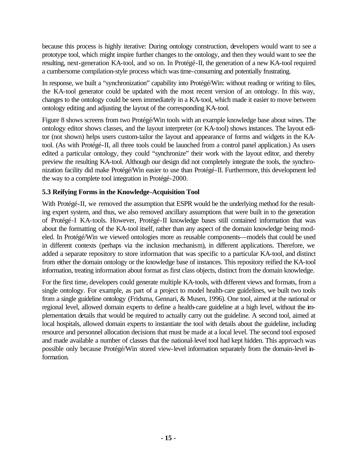because this process is highly iterative: During ontology construction, developers would want to see a prototype tool, which might inspire further changes to the ontology, and then they would want to see the resulting, next-generation KA-tool, and so on. In Protégé-II, the generation of a new KA-tool required a cumbersome compilation-style process which was time-consuming and potentially frustrating.

In response, we built a "synchronization" capability into Protégé/Win: without reading or writing to files, the KA-tool generator could be updated with the most recent version of an ontology. In this way, changes to the ontology could be seen immediately in a KA-tool, which made it easier to move between ontology editing and adjusting the layout of the corresponding KA-tool.

Figure 8 shows screens from two Protégé/Win tools with an example knowledge base about wines. The ontology editor shows classes, and the layout interpreter (or KA-tool) shows instances. The layout editor (not shown) helps users custom-tailor the layout and appearance of forms and widgets in the KAtool. (As with Protégé-II, all three tools could be launched from a control panel application.) As users edited a particular ontology, they could "synchronize" their work with the layout editor, and thereby preview the resulting KA-tool. Although our design did not completely integrate the tools, the synchronization facility did make Protégé/Win easier to use than Protégé-II. Furthermore, this development led the way to a complete tool integration in Protégé-2000.

## **5.3 Reifying Forms in the Knowledge-Acquisition Tool**

With Protégé-II, we removed the assumption that ESPR would be the underlying method for the resulting expert system, and thus, we also removed ancillary assumptions that were built in to the generation of Protégé-I KA-tools. However, Protégé-II knowledge bases still contained information that was about the formatting of the KA-tool itself, rather than any aspect of the domain knowledge being modeled. In Protégé/Win we viewed ontologies more as reusable components—models that could be used in different contexts (perhaps via the inclusion mechanism), in different applications. Therefore, we added a separate repository to store information that was specific to a particular KA-tool, and distinct from either the domain ontology or the knowledge base of instances. This repository reified the KA-tool information, treating information about format as first class objects, distinct from the domain knowledge.

For the first time, developers could generate multiple KA-tools, with different views and formats, from a single ontology. For example, as part of a project to model health-care guidelines, we built two tools from a single guideline ontology (Fridsma, Gennari, & Musen, 1996). One tool, aimed at the national or regional level, allowed domain experts to define a health-care guideline at a high level, without the implementation details that would be required to actually carry out the guideline. A second tool, aimed at local hospitals, allowed domain experts to instantiate the tool with details about the guideline, including resource and personnel allocation decisions that must be made at a local level. The second tool exposed and made available a number of classes that the national-level tool had kept hidden. This approach was possible only because Protégé/Win stored view-level information separately from the domain-level information.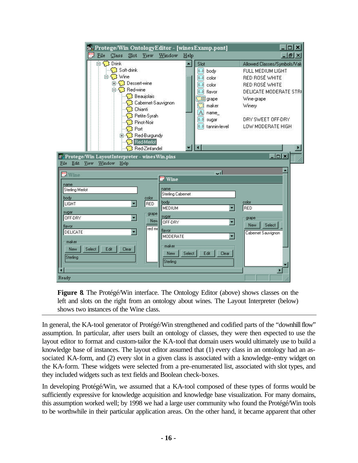

**Figure 8**. The Protégé/Win interface. The Ontology Editor (above) shows classes on the left and slots on the right from an ontology about wines. The Layout Interpreter (below) shows two instances of the Wine class.

In general, the KA-tool generator of Protégé/Win strengthened and codified parts of the "downhill flow" assumption. In particular, after users built an ontology of classes, they were then expected to use the layout editor to format and custom-tailor the KA-tool that domain users would ultimately use to build a knowledge base of instances. The layout editor assumed that (1) every class in an ontology had an associated KA-form, and (2) every slot in a given class is associated with a knowledge-entry widget on the KA-form. These widgets were selected from a pre-enumerated list, associated with slot types, and they included widgets such as text fields and Boolean check-boxes.

In developing Protégé/Win, we assumed that a KA-tool composed of these types of forms would be sufficiently expressive for knowledge acquisition and knowledge base visualization. For many domains, this assumption worked well; by 1998 we had a large user community who found the Protégé/Win tools to be worthwhile in their particular application areas. On the other hand, it became apparent that other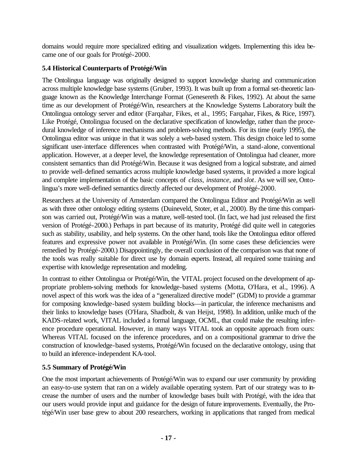domains would require more specialized editing and visualization widgets. Implementing this idea became one of our goals for Protégé-2000.

## **5.4 Historical Counterparts of Protégé/Win**

The Ontolingua language was originally designed to support knowledge sharing and communication across multiple knowledge base systems (Gruber, 1993). It was built up from a formal set-theoretic language known as the Knowledge Interchange Format (Genesereth & Fikes, 1992). At about the same time as our development of Protégé/Win, researchers at the Knowledge Systems Laboratory built the Ontolingua ontology server and editor (Farqahar, Fikes, et al., 1995; Farqahar, Fikes, & Rice, 1997). Like Protégé, Ontolingua focused on the declarative specification of knowledge, rather than the procedural knowledge of inference mechanisms and problem-solving methods. For its time (early 1995), the Ontolingua editor was unique in that it was solely a web-based system. This design choice led to some significant user-interface differences when contrasted with Protégé/Win, a stand-alone, conventional application. However, at a deeper level, the knowledge representation of Ontolingua had cleaner, more consistent semantics than did Protégé/Win. Because it was designed from a logical substrate, and aimed to provide well-defined semantics across multiple knowledge based systems, it provided a more logical and complete implementation of the basic concepts of *class, instance,* and *slot*. As we will see, Ontolingua's more well-defined semantics directly affected our development of Protégé-2000.

Researchers at the University of Amsterdam compared the Ontolingua Editor and Protégé/Win as well as with three other ontology editing systems (Duineveld, Stoter, et al., 2000). By the time this comparison was carried out, Protégé/Win was a mature, well-tested tool. (In fact, we had just released the first version of Protégé-2000.) Perhaps in part because of its maturity, Protégé did quite well in categories such as stability, usability, and help systems. On the other hand, tools like the Ontolingua editor offered features and expressive power not available in Protégé/Win. (In some cases these deficiencies were remedied by Protégé-2000.) Disappointingly, the overall conclusion of the comparison was that none of the tools was really suitable for direct use by domain experts. Instead, all required some training and expertise with knowledge representation and modeling.

In contrast to either Ontolingua or Protégé/Win, the VITAL project focused on the development of appropriate problem-solving methods for knowledge-based systems (Motta, O'Hara, et al., 1996). A novel aspect of this work was the idea of a "generalized directive model" (GDM) to provide a grammar for composing knowledge-based system building blocks—in particular, the inference mechanisms and their links to knowledge bases (O'Hara, Shadbolt, & van Heijst, 1998). In addition, unlike much of the KADS-related work, VITAL included a formal language, OCML, that could make the resulting inference procedure operational. However, in many ways VITAL took an opposite approach from ours: Whereas VITAL focused on the inference procedures, and on a compositional grammar to drive the construction of knowledge-based systems, Protégé/Win focused on the declarative ontology, using that to build an inference-independent KA-tool.

## **5.5 Summary of Protégé/Win**

One the most important achievements of Protégé/Win was to expand our user community by providing an easy-to-use system that ran on a widely available operating system. Part of our strategy was to increase the number of users and the number of knowledge bases built with Protégé, with the idea that our users would provide input and guidance for the design of future improvements. Eventually, the Protégé/Win user base grew to about 200 researchers, working in applications that ranged from medical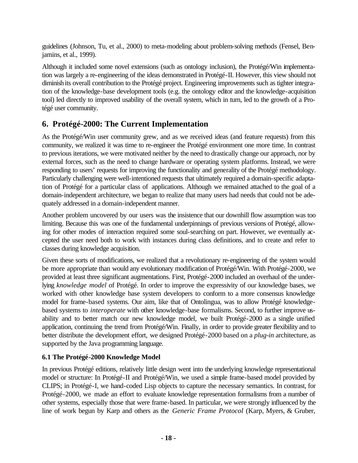guidelines (Johnson, Tu, et al., 2000) to meta-modeling about problem-solving methods (Fensel, Benjamins, et al., 1999).

Although it included some novel extensions (such as ontology inclusion), the Protégé/Win implementation was largely a re-engineering of the ideas demonstrated in Protégé-II. However, this view should not diminish its overall contribution to the Protégé project. Engineering improvements such as tighter integration of the knowledge-base development tools (e.g. the ontology editor and the knowledge-acquisition tool) led directly to improved usability of the overall system, which in turn, led to the growth of a Protégé user community.

# **6. Protégé-2000: The Current Implementation**

As the Protégé/Win user community grew, and as we received ideas (and feature requests) from this community, we realized it was time to re-engineer the Protégé environment one more time. In contrast to previous iterations, we were motivated neither by the need to drastically change our approach, nor by external forces, such as the need to change hardware or operating system platforms. Instead, we were responding to users' requests for improving the functionality and generality of the Protégé methodology. Particularly challenging were well-intentioned requests that ultimately required a domain-specific adaptation of Protégé for a particular class of applications. Although we remained attached to the goal of a domain-independent architecture, we began to realize that many users had needs that could not be adequately addressed in a domain-independent manner.

Another problem uncovered by our users was the insistence that our downhill flow assumption was too limiting. Because this was one of the fundamental underpinnings of previous versions of Protégé, allowing for other modes of interaction required some soul-searching on part. However, we eventually accepted the user need both to work with instances during class definitions, and to create and refer to classes during knowledge acquisition.

Given these sorts of modifications, we realized that a revolutionary re-engineering of the system would be more appropriate than would any evolutionary modification of Protégé/Win. With Protégé-2000, we provided at least three significant augmentations. First, Protégé-2000 included an overhaul of the underlying *knowledge model* of Protégé. In order to improve the expressivity of our knowledge bases, we worked with other knowledge base system developers to conform to a more consensus knowledge model for frame-based systems. Our aim, like that of Ontolingua, was to allow Protégé knowledgebased systems to *interoperate* with other knowledge-base formalisms. Second, to further improve usability and to better match our new knowledge model, we built Protégé-2000 as a single unified application, continuing the trend from Protégé/Win. Finally, in order to provide greater flexibility and to better distribute the development effort, we designed Protégé-2000 based on a *plug-in* architecture, as supported by the Java programming language.

## **6.1 The Protégé-2000 Knowledge Model**

In previous Protégé editions, relatively little design went into the underlying knowledge representational model or structure: In Protégé-II and Protégé/Win, we used a simple frame-based model provided by CLIPS; in Protégé-I, we hand-coded Lisp objects to capture the necessary semantics. In contrast, for Protégé-2000, we made an effort to evaluate knowledge representation formalisms from a number of other systems, especially those that were frame-based. In particular, we were strongly influenced by the line of work begun by Karp and others as the *Generic Frame Protocol* (Karp, Myers, & Gruber,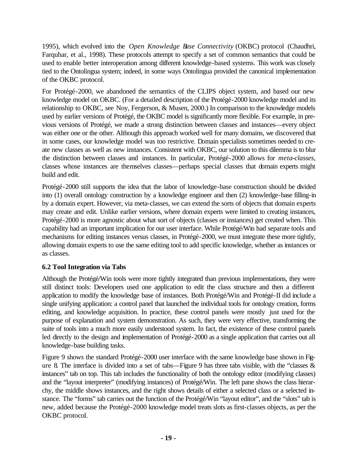1995), which evolved into the *Open Knowledge Base Connectivity* (OKBC) protocol (Chaudhri, Farquhar, et al., 1998). These protocols attempt to specify a set of common semantics that could be used to enable better interoperation among different knowledge-based systems. This work was closely tied to the Ontolingua system; indeed, in some ways Ontolingua provided the canonical implementation of the OKBC protocol.

For Protégé-2000, we abandoned the semantics of the CLIPS object system, and based our new knowledge model on OKBC. (For a detailed description of the Protégé-2000 knowledge model and its relationship to OKBC, see Noy, Fergerson, & Musen, 2000.) In comparison to the knowledge models used by earlier versions of Protégé, the OKBC model is significantly more flexible. For example, in previous versions of Protégé, we made a strong distinction between classes and instances—every object was either one or the other. Although this approach worked well for many domains, we discovered that in some cases, our knowledge model was too restrictive. Domain specialists sometimes needed to create new classes as well as new instances. Consistent with OKBC, our solution to this dilemma is to blur the distinction between classes and instances. In particular, Protégé-2000 allows for *meta-classes*, classes whose instances are themselves classes—perhaps special classes that domain experts might build and edit.

Protégé-2000 still supports the idea that the labor of knowledge-base construction should be divided into (1) overall ontology construction by a knowledge engineer and then (2) knowledge-base filling-in by a domain expert. However, via meta-classes, we can extend the sorts of objects that domain experts may create and edit. Unlike earlier versions, where domain experts were limited to creating instances, Protégé-2000 is more agnostic about what sort of objects (classes or instances) get created when. This capability had an important implication for our user interface. While Protégé/Win had separate tools and mechanisms for editing instances versus classes, in Protégé-2000, we must integrate these more tightly, allowing domain experts to use the same editing tool to add specific knowledge, whether as instances or as classes.

## **6.2 Tool Integration via Tabs**

Although the Protégé/Win tools were more tightly integrated than previous implementations, they were still distinct tools: Developers used one application to edit the class structure and then a different application to modify the knowledge base of instances. Both Protégé/Win and Protégé-II did include a single unifying application: a control panel that launched the individual tools for ontology creation, forms editing, and knowledge acquisition. In practice, these control panels were mostly just used for the purpose of explanation and system demonstration. As such, they were very effective, transforming the suite of tools into a much more easily understood system. In fact, the existence of these control panels led directly to the design and implementation of Protégé-2000 as a single application that carries out all knowledge-base building tasks.

Figure 9 shows the standard Protégé-2000 user interface with the same knowledge base shown in Figure 8. The interface is divided into a set of tabs—Figure 9 has three tabs visible, with the "classes & instances" tab on top. This tab includes the functionality of both the ontology editor (modifying classes) and the "layout interpreter" (modifying instances) of Protégé/Win. The left pane shows the class hierarchy, the middle shows instances, and the right shows details of either a selected class or a selected instance. The "forms" tab carries out the function of the Protégé/Win "layout editor", and the "slots" tab is new, added because the Protégé-2000 knowledge model treats slots as first-classes objects, as per the OKBC protocol.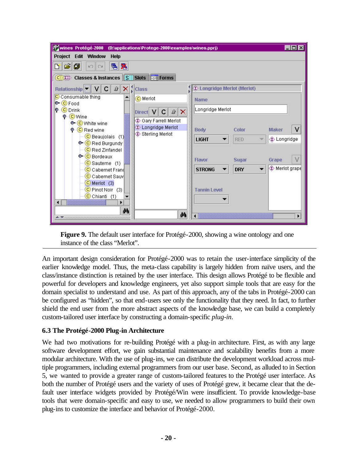

**Figure 9.** The default user interface for Protégé-2000, showing a wine ontology and one instance of the class "Merlot".

An important design consideration for Protégé-2000 was to retain the user-interface simplicity of the earlier knowledge model. Thus, the meta-class capability is largely hidden from naïve users, and the class/instance distinction is retained by the user interface. This design allows Protégé to be flexible and powerful for developers and knowledge engineers, yet also support simple tools that are easy for the domain specialist to understand and use. As part of this approach, any of the tabs in Protégé-2000 can be configured as "hidden", so that end-users see only the functionality that they need. In fact, to further shield the end user from the more abstract aspects of the knowledge base, we can build a completely custom-tailored user interface by constructing a domain-specific *plug-in*.

### **6.3 The Protégé-2000 Plug-in Architecture**

We had two motivations for re-building Protégé with a plug-in architecture. First, as with any large software development effort, we gain substantial maintenance and scalability benefits from a more modular architecture. With the use of plug-ins, we can distribute the development workload across multiple programmers, including external programmers from our user base. Second, as alluded to in Section 5, we wanted to provide a greater range of custom-tailored features to the Protégé user interface. As both the number of Protégé users and the variety of uses of Protégé grew, it became clear that the default user interface widgets provided by Protégé/Win were insufficient. To provide knowledge-base tools that were domain-specific and easy to use, we needed to allow programmers to build their own plug-ins to customize the interface and behavior of Protégé-2000.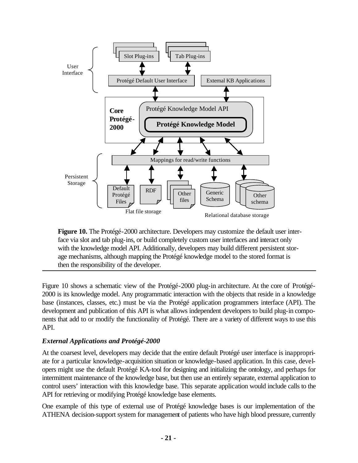

**Figure 10.** The Protégé-2000 architecture. Developers may customize the default user interface via slot and tab plug-ins, or build completely custom user interfaces and interact only with the knowledge model API. Additionally, developers may build different persistent storage mechanisms, although mapping the Protégé knowledge model to the stored format is then the responsibility of the developer.

Figure 10 shows a schematic view of the Protégé-2000 plug-in architecture. At the core of Protégé-2000 is its knowledge model. Any programmatic interaction with the objects that reside in a knowledge base (instances, classes, etc.) must be via the Protégé application programmers interface (API). The development and publication of this API is what allows independent developers to build plug-in components that add to or modify the functionality of Protégé. There are a variety of different ways to use this API.

### *External Applications and Protégé-2000*

At the coarsest level, developers may decide that the entire default Protégé user interface is inappropriate for a particular knowledge-acquisition situation or knowledge-based application. In this case, developers might use the default Protégé KA-tool for designing and initializing the ontology, and perhaps for intermittent maintenance of the knowledge base, but then use an entirely separate, external application to control users' interaction with this knowledge base. This separate application would include calls to the API for retrieving or modifying Protégé knowledge base elements.

One example of this type of external use of Protégé knowledge bases is our implementation of the ATHENA decision-support system for management of patients who have high blood pressure, currently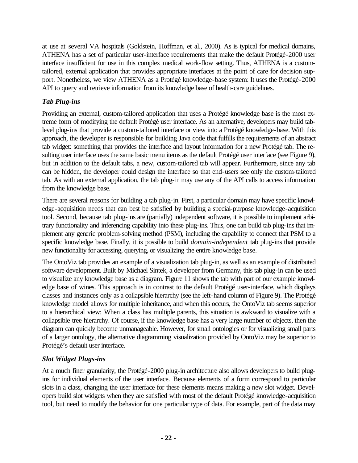at use at several VA hospitals (Goldstein, Hoffman, et al., 2000). As is typical for medical domains, ATHENA has a set of particular user-interface requirements that make the default Protégé-2000 user interface insufficient for use in this complex medical work-flow setting. Thus, ATHENA is a customtailored, external application that provides appropriate interfaces at the point of care for decision support. Nonetheless, we view ATHENA as a Protégé knowledge-base system: It uses the Protégé-2000 API to query and retrieve information from its knowledge base of health-care guidelines.

## *Tab Plug-ins*

Providing an external, custom-tailored application that uses a Protégé knowledge base is the most extreme form of modifying the default Protégé user interface. As an alternative, developers may build tablevel plug-ins that provide a custom-tailored interface or view into a Protégé knowledge-base. With this approach, the developer is responsible for building Java code that fulfills the requirements of an abstract tab widget: something that provides the interface and layout information for a new Protégé tab. The resulting user interface uses the same basic menu items as the default Protégé user interface (see Figure 9), but in addition to the default tabs, a new, custom-tailored tab will appear. Furthermore, since any tab can be hidden, the developer could design the interface so that end-users see only the custom-tailored tab. As with an external application, the tab plug-in may use any of the API calls to access information from the knowledge base.

There are several reasons for building a tab plug-in. First, a particular domain may have specific knowledge-acquisition needs that can best be satisfied by building a special-purpose knowledge-acquisition tool. Second, because tab plug-ins are (partially) independent software, it is possible to implement arbitrary functionality and inferencing capability into these plug-ins. Thus, one can build tab plug-ins that implement any generic problem-solving method (PSM), including the capability to connect that PSM to a specific knowledge base. Finally, it is possible to build *domain-independent* tab plug-ins that provide new functionality for accessing, querying, or visualizing the entire knowledge base.

The OntoViz tab provides an example of a visualization tab plug-in, as well as an example of distributed software development. Built by Michael Sintek, a developer from Germany, this tab plug-in can be used to visualize any knowledge base as a diagram. Figure 11 shows the tab with part of our example knowledge base of wines. This approach is in contrast to the default Protégé user-interface, which displays classes and instances only as a collapsible hierarchy (see the left-hand column of Figure 9). The Protégé knowledge model allows for multiple inheritance, and when this occurs, the OntoViz tab seems superior to a hierarchical view: When a class has multiple parents, this situation is awkward to visualize with a collapsible tree hierarchy. Of course, if the knowledge base has a very large number of objects, then the diagram can quickly become unmanageable. However, for small ontologies or for visualizing small parts of a larger ontology, the alternative diagramming visualization provided by OntoViz may be superior to Protégé's default user interface.

## *Slot Widget Plugs-ins*

At a much finer granularity, the Protégé-2000 plug-in architecture also allows developers to build plugins for individual elements of the user interface. Because elements of a form correspond to particular slots in a class, changing the user interface for these elements means making a new slot widget. Developers build slot widgets when they are satisfied with most of the default Protégé knowledge-acquisition tool, but need to modify the behavior for one particular type of data. For example, part of the data may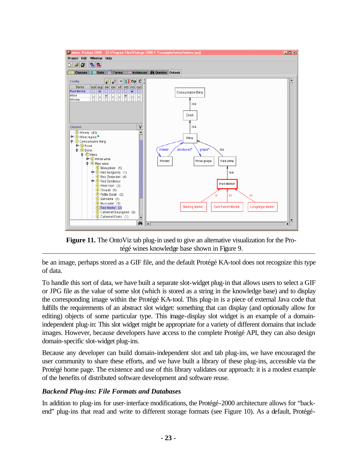

**Figure 11.** The OntoViz tab plug-in used to give an alternative visualization for the Protégé wines knowledge base shown in Figure 9.

be an image, perhaps stored as a GIF file, and the default Protégé KA-tool does not recognize this type of data.

To handle this sort of data, we have built a separate slot-widget plug-in that allows users to select a GIF or JPG file as the value of some slot (which is stored as a string in the knowledge base) and to display the corresponding image within the Protégé KA-tool. This plug-in is a piece of external Java code that fulfills the requirements of an abstract slot widget: something that can display (and optionally allow for editing) objects of some particular type. This image-display slot widget is an example of a domainindependent plug-in: This slot widget might be appropriate for a variety of different domains that include images. However, because developers have access to the complete Protégé API, they can also design domain-specific slot-widget plug-ins.

Because any developer can build domain-independent slot and tab plug-ins, we have encouraged the user community to share these efforts, and we have built a library of these plug-ins, accessible via the Protégé home page. The existence and use of this library validates our approach: it is a modest example of the benefits of distributed software development and software reuse.

#### *Backend Plug-ins: File Formats and Databases*

In addition to plug-ins for user-interface modifications, the Protégé-2000 architecture allows for "backend" plug-ins that read and write to different storage formats (see Figure 10). As a default, Protégé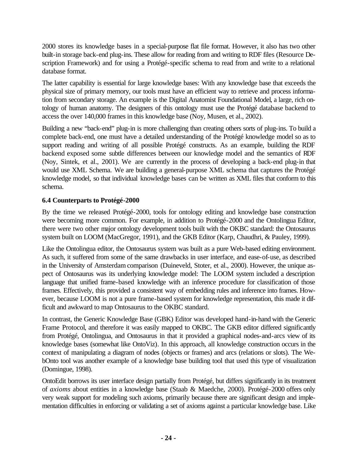2000 stores its knowledge bases in a special-purpose flat file format. However, it also has two other built-in storage back-end plug-ins. These allow for reading from and writing to RDF files (Resource Description Framework) and for using a Protégé-specific schema to read from and write to a relational database format.

The latter capability is essential for large knowledge bases: With any knowledge base that exceeds the physical size of primary memory, our tools must have an efficient way to retrieve and process information from secondary storage. An example is the Digital Anatomist Foundational Model, a large, rich ontology of human anatomy. The designers of this ontology must use the Protégé database backend to access the over 140,000 frames in this knowledge base (Noy, Musen, et al., 2002).

Building a new "back-end" plug-in is more challenging than creating others sorts of plug-ins. To build a complete back-end, one must have a detailed understanding of the Protégé knowledge model so as to support reading and writing of all possible Protégé constructs. As an example, building the RDF backend exposed some subtle differences between our knowledge model and the semantics of RDF (Noy, Sintek, et al., 2001). We are currently in the process of developing a back-end plug-in that would use XML Schema. We are building a general-purpose XML schema that captures the Protégé knowledge model, so that individual knowledge bases can be written as XML files that conform to this schema.

## **6.4 Counterparts to Protégé-2000**

By the time we released Protégé-2000, tools for ontology editing and knowledge base construction were becoming more common. For example, in addition to Protégé-2000 and the Ontolingua Editor, there were two other major ontology development tools built with the OKBC standard: the Ontosaurus system built on LOOM (MacGregor, 1991), and the GKB Editor (Karp, Chaudhri, & Pauley, 1999).

Like the Ontolingua editor, the Ontosaurus system was built as a pure Web-based editing environment. As such, it suffered from some of the same drawbacks in user interface, and ease-of-use, as described in the University of Amsterdam comparison (Duineveld, Stoter, et al., 2000). However, the unique aspect of Ontosaurus was its underlying knowledge model: The LOOM system included a description language that unified frame-based knowledge with an inference procedure for classification of those frames. Effectively, this provided a consistent way of embedding rules and inference into frames. However, because LOOM is not a pure frame-based system for knowledge representation, this made it difficult and awkward to map Ontosaurus to the OKBC standard.

In contrast, the Generic Knowledge Base (GBK) Editor was developed hand-in-hand with the Generic Frame Protocol, and therefore it was easily mapped to OKBC. The GKB editor differed significantly from Protégé, Ontolingua, and Ontosaurus in that it provided a graphical nodes-and-arcs view of its knowledge bases (somewhat like OntoViz). In this approach, all knowledge construction occurs in the context of manipulating a diagram of nodes (objects or frames) and arcs (relations or slots). The WebOnto tool was another example of a knowledge base building tool that used this type of visualization (Domingue, 1998).

OntoEdit borrows its user interface design partially from Protégé, but differs significantly in its treatment of *axioms* about entities in a knowledge base (Staab & Maedche, 2000). Protégé-2000 offers only very weak support for modeling such axioms, primarily because there are significant design and implementation difficulties in enforcing or validating a set of axioms against a particular knowledge base. Like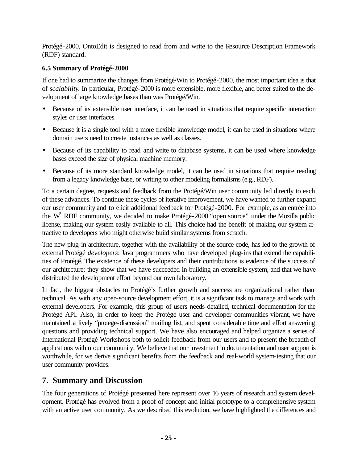Protégé-2000, OntoEdit is designed to read from and write to the Resource Description Framework (RDF) standard.

### **6.5 Summary of Protégé-2000**

If one had to summarize the changes from Protégé/Win to Protégé-2000, the most important idea is that of *scalability*. In particular, Protégé-2000 is more extensible, more flexible, and better suited to the development of large knowledge bases than was Protégé/Win.

- Because of its extensible user interface, it can be used in situations that require specific interaction styles or user interfaces.
- Because it is a single tool with a more flexible knowledge model, it can be used in situations where domain users need to create instances as well as classes.
- Because of its capability to read and write to database systems, it can be used where knowledge bases exceed the size of physical machine memory.
- Because of its more standard knowledge model, it can be used in situations that require reading from a legacy knowledge base, or writing to other modeling formalisms (e.g., RDF).

To a certain degree, requests and feedback from the Protégé/Win user community led directly to each of these advances. To continue these cycles of iterative improvement, we have wanted to further expand our user community and to elicit additional feedback for Protégé-2000. For example, as an entrée into the  $W^3$  RDF community, we decided to make Protégé-2000 "open source" under the Mozilla public license, making our system easily available to all. This choice had the benefit of making our system attractive to developers who might otherwise build similar systems from scratch.

The new plug-in architecture, together with the availability of the source code, has led to the growth of external Protégé *developers*: Java programmers who have developed plug-ins that extend the capabilities of Protégé. The existence of these developers and their contributions is evidence of the success of our architecture; they show that we have succeeded in building an extensible system, and that we have distributed the development effort beyond our own laboratory.

In fact, the biggest obstacles to Protégé's further growth and success are organizational rather than technical. As with any open-source development effort, it is a significant task to manage and work with external developers. For example, this group of users needs detailed, technical documentation for the Protégé API. Also, in order to keep the Protégé user and developer communities vibrant, we have maintained a lively "protege-discussion" mailing list, and spent considerable time and effort answering questions and providing technical support. We have also encouraged and helped organize a series of International Protégé Workshops both to solicit feedback from our users and to present the breadth of applications within our community. We believe that our investment in documentation and user support is worthwhile, for we derive significant benefits from the feedback and real-world system-testing that our user community provides.

## **7. Summary and Discussion**

The four generations of Protégé presented here represent over 16 years of research and system development. Protégé has evolved from a proof of concept and initial prototype to a comprehensive system with an active user community. As we described this evolution, we have highlighted the differences and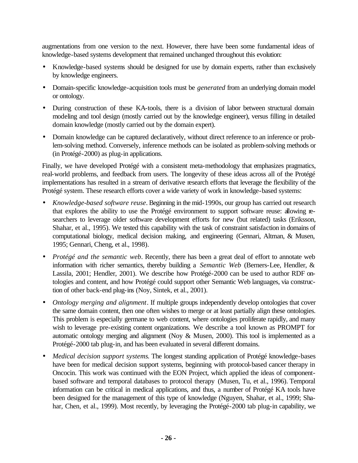augmentations from one version to the next. However, there have been some fundamental ideas of knowledge-based systems development that remained unchanged throughout this evolution:

- Knowledge-based systems should be designed for use by domain experts, rather than exclusively by knowledge engineers.
- Domain-specific knowledge-acquisition tools must be *generated* from an underlying domain model or ontology.
- During construction of these KA-tools, there is a division of labor between structural domain modeling and tool design (mostly carried out by the knowledge engineer), versus filling in detailed domain knowledge (mostly carried out by the domain expert).
- Domain knowledge can be captured declaratively, without direct reference to an inference or problem-solving method. Conversely, inference methods can be isolated as problem-solving methods or (in Protégé-2000) as plug-in applications.

Finally, we have developed Protégé with a consistent meta-methodology that emphasizes pragmatics, real-world problems, and feedback from users. The longevity of these ideas across all of the Protégé implementations has resulted in a stream of derivative research efforts that leverage the flexibility of the Protégé system. These research efforts cover a wide variety of work in knowledge-based systems:

- *Knowledge-based software reuse*. Beginning in the mid-1990s, our group has carried out research that explores the ability to use the Protégé environment to support software reuse: allowing researchers to leverage older software development efforts for new (but related) tasks (Eriksson, Shahar, et al., 1995). We tested this capability with the task of constraint satisfaction in domains of computational biology, medical decision making, and engineering (Gennari, Altman, & Musen, 1995; Gennari, Cheng, et al., 1998).
- *Protégé and the semantic web*. Recently, there has been a great deal of effort to annotate web information with richer semantics, thereby building a *Semantic Web* (Berners-Lee, Hendler, & Lassila, 2001; Hendler, 2001). We describe how Protégé-2000 can be used to author RDF ontologies and content, and how Protégé could support other Semantic Web languages, via construction of other back-end plug-ins (Noy, Sintek, et al., 2001).
- *Ontology merging and alignment*. If multiple groups independently develop ontologies that cover the same domain content, then one often wishes to merge or at least partially align these ontologies. This problem is especially germane to web content, where ontologies proliferate rapidly, and many wish to leverage pre-existing content organizations. We describe a tool known as PROMPT for automatic ontology merging and alignment (Noy & Musen, 2000). This tool is implemented as a Protégé-2000 tab plug-in, and has been evaluated in several different domains.
- *Medical decision support systems*. The longest standing application of Protégé knowledge-bases have been for medical decision support systems, beginning with protocol-based cancer therapy in Oncocin. This work was continued with the EON Project, which applied the ideas of componentbased software and temporal databases to protocol therapy (Musen, Tu, et al., 1996). Temporal information can be critical in medical applications, and thus, a number of Protégé KA tools have been designed for the management of this type of knowledge (Nguyen, Shahar, et al., 1999; Shahar, Chen, et al., 1999). Most recently, by leveraging the Protégé-2000 tab plug-in capability, we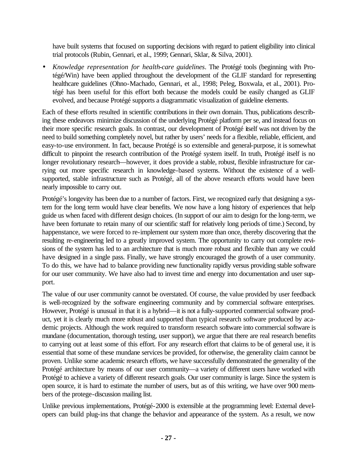have built systems that focused on supporting decisions with regard to patient eligibility into clinical trial protocols (Rubin, Gennari, et al., 1999; Gennari, Sklar, & Silva, 2001).

• *Knowledge representation for health-care guidelines*. The Protégé tools (beginning with Protégé/Win) have been applied throughout the development of the GLIF standard for representing healthcare guidelines (Ohno-Machado, Gennari, et al., 1998; Peleg, Boxwala, et al., 2001). Protégé has been useful for this effort both because the models could be easily changed as GLIF evolved, and because Protégé supports a diagrammatic visualization of guideline elements.

Each of these efforts resulted in scientific contributions in their own domain. Thus, publications describing these endeavors minimize discussion of the underlying Protégé platform per se, and instead focus on their more specific research goals. In contrast, our development of Protégé itself was not driven by the need to build something completely novel, but rather by users' needs for a flexible, reliable, efficient, and easy-to-use environment. In fact, because Protégé is so extensible and general-purpose, it is somewhat difficult to pinpoint the research contribution of the Protégé system itself. In truth, Protégé itself is no longer revolutionary research—however, it does provide a stable, robust, flexible infrastructure for carrying out more specific research in knowledge-based systems. Without the existence of a wellsupported, stable infrastructure such as Protégé, all of the above research efforts would have been nearly impossible to carry out.

Protégé's longevity has been due to a number of factors. First, we recognized early that designing a system for the long term would have clear benefits. We now have a long history of experiences that help guide us when faced with different design choices. (In support of our aim to design for the long-term, we have been fortunate to retain many of our scientific staff for relatively long periods of time.) Second, by happenstance, we were forced to re-implement our system more than once, thereby discovering that the resulting re-engineering led to a greatly improved system. The opportunity to carry out complete revisions of the system has led to an architecture that is much more robust and flexible than any we could have designed in a single pass. Finally, we have strongly encouraged the growth of a user community. To do this, we have had to balance providing new functionality rapidly versus providing stable software for our user community. We have also had to invest time and energy into documentation and user support.

The value of our user community cannot be overstated. Of course, the value provided by user feedback is well-recognized by the software engineering community and by commercial software enterprises. However, Protégé is unusual in that it is a hybrid—it is not a fully-supported commercial software product, yet it is clearly much more robust and supported than typical research software produced by academic projects. Although the work required to transform research software into commercial software is mundane (documentation, thorough testing, user support), we argue that there are real research benefits to carrying out at least some of this effort. For any research effort that claims to be of general use, it is essential that some of these mundane services be provided, for otherwise, the generality claim cannot be proven. Unlike some academic research efforts, we have successfully demonstrated the generality of the Protégé architecture by means of our user community—a variety of different users have worked with Protégé to achieve a variety of different research goals. Our user community is large. Since the system is open source, it is hard to estimate the number of users, but as of this writing, we have over 900 members of the protege-discussion mailing list.

Unlike previous implementations, Protégé-2000 is extensible at the programming level: External developers can build plug-ins that change the behavior and appearance of the system. As a result, we now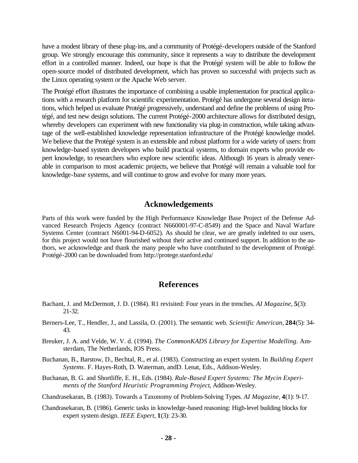have a modest library of these plug-ins, and a community of Protégé-developers outside of the Stanford group. We strongly encourage this community, since it represents a way to distribute the development effort in a controlled manner. Indeed, our hope is that the Protégé system will be able to follow the open-source model of distributed development, which has proven so successful with projects such as the Linux operating system or the Apache Web server.

The Protégé effort illustrates the importance of combining a usable implementation for practical applications with a research platform for scientific experimentation. Protégé has undergone several design iterations, which helped us evaluate Protégé progressively, understand and define the problems of using Protégé, and test new design solutions. The current Protégé-2000 architecture allows for distributed design, whereby developers can experiment with new functionality via plug-in construction, while taking advantage of the well-established knowledge representation infrastructure of the Protégé knowledge model. We believe that the Protégé system is an extensible and robust platform for a wide variety of users: from knowledge-based system developers who build practical systems, to domain experts who provide expert knowledge, to researchers who explore new scientific ideas. Although 16 years is already venerable in comparison to most academic projects, we believe that Protégé will remain a valuable tool for knowledge-base systems, and will continue to grow and evolve for many more years.

### **Acknowledgements**

Parts of this work were funded by the High Performance Knowledge Base Project of the Defense Advanced Research Projects Agency (contract N660001-97-C-8549) and the Space and Naval Warfare Systems Center (contract N6001-94-D-6052). As should be clear, we are greatly indebted to our users, for this project would not have flourished without their active and continued support. In addition to the authors, we acknowledge and thank the many people who have contributed to the development of Protégé. Protégé-2000 can be downloaded from http://protege.stanford.edu/

### **References**

- Bachant, J. and McDermott, J. D. (1984). R1 revisited: Four years in the trenches. *AI Magazine*, **5**(3): 21-32.
- Berners-Lee, T., Hendler, J., and Lassila, O. (2001). The semantic web. *Scientific American*, **284**(5): 34- 43.
- Breuker, J. A. and Velde, W. V. d. (1994). *The CommonKADS Library for Expertise Modelling*. Amsterdam, The Netherlands, IOS Press.
- Buchanan, B., Barstow, D., Bechtal, R., et al. (1983). Constructing an expert system. In *Building Expert Systems*. F. Hayes-Roth, D. Waterman, andD. Lenat, Eds., Addison-Wesley.
- Buchanan, B. G. and Shortliffe, E. H., Eds. (1984). *Rule-Based Expert Systems: The Mycin Experiments of the Stanford Heuristic Programming Project*, Addison-Wesley.

Chandrasekaran, B. (1983). Towards a Taxonomy of Problem-Solving Types. *AI Magazine*, **4**(1): 9-17.

Chandrasekaran, B. (1986). Generic tasks in knowledge-based reasoning: High-level building blocks for expert system design. *IEEE Expert*, **1**(3): 23-30.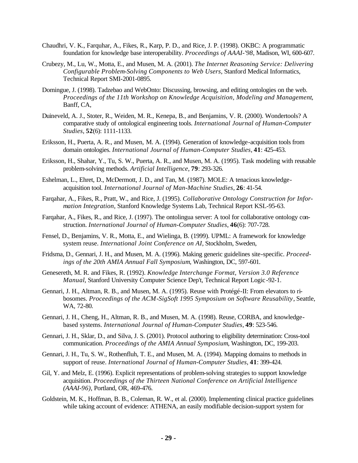- Chaudhri, V. K., Farquhar, A., Fikes, R., Karp, P. D., and Rice, J. P. (1998). OKBC: A programmatic foundation for knowledge base interoperability. *Proceedings of AAAI-'98*, Madison, WI, 600-607.
- Crubezy, M., Lu, W., Motta, E., and Musen, M. A. (2001). *The Internet Reasoning Service: Delivering Configurable Problem-Solving Components to Web Users*, Stanford Medical Informatics, Technical Report SMI-2001-0895.
- Domingue, J. (1998). Tadzebao and WebOnto: Discussing, browsing, and editing ontologies on the web. *Proceedings of the 11th Workshop on Knowledge Acquisition, Modeling and Management*, Banff, CA,
- Duineveld, A. J., Stoter, R., Weiden, M. R., Kenepa, B., and Benjamins, V. R. (2000). Wondertools? A comparative study of ontological engineering tools. *International Journal of Human-Computer Studies*, **52**(6): 1111-1133.
- Eriksson, H., Puerta, A. R., and Musen, M. A. (1994). Generation of knowledge-acquisition tools from domain ontologies. *International Journal of Human-Computer Studies*, **41**: 425-453.
- Eriksson, H., Shahar, Y., Tu, S. W., Puerta, A. R., and Musen, M. A. (1995). Task modeling with reusable problem-solving methods. *Artificial Intelligence*, **79**: 293-326.
- Eshelman, L., Ehret, D., McDermott, J. D., and Tan, M. (1987). MOLE: A tenacious knowledgeacquisition tool. *International Journal of Man-Machine Studies*, **26**: 41-54.
- Farqahar, A., Fikes, R., Pratt, W., and Rice, J. (1995). *Collaborative Ontology Construction for Information Integration*, Stanford Knowledge Systems Lab, Technical Report KSL-95-63.
- Farqahar, A., Fikes, R., and Rice, J. (1997). The ontolingua server: A tool for collaborative ontology construction. *International Journal of Human-Computer Studies*, **46**(6): 707-728.
- Fensel, D., Benjamins, V. R., Motta, E., and Wielinga, B. (1999). UPML: A framework for knowledge system reuse. *International Joint Conference on AI*, Stockholm, Sweden,
- Fridsma, D., Gennari, J. H., and Musen, M. A. (1996). Making generic guidelines site-specific. *Proceedings of the 20th AMIA Annual Fall Symposium*, Washington, DC, 597-601.
- Genesereth, M. R. and Fikes, R. (1992). *Knowledge Interchange Format, Version 3.0 Reference Manual*, Stanford University Computer Science Dep't, Technical Report Logic -92-1.
- Gennari, J. H., Altman, R. B., and Musen, M. A. (1995). Reuse with Protégé-II: From elevators to ribosomes. *Proceedings of the ACM-SigSoft 1995 Symposium on Software Reusability*, Seattle, WA, 72-80.
- Gennari, J. H., Cheng, H., Altman, R. B., and Musen, M. A. (1998). Reuse, CORBA, and knowledgebased systems. *International Journal of Human-Computer Studies*, **49**: 523-546.
- Gennari, J. H., Sklar, D., and Silva, J. S. (2001). Protocol authoring to eligibility determination: Cross-tool communication. *Proceedings of the AMIA Annual Symposium*, Washington, DC, 199-203.
- Gennari, J. H., Tu, S. W., Rothenfluh, T. E., and Musen, M. A. (1994). Mapping domains to methods in support of reuse. *International Journal of Human-Computer Studies*, **41**: 399-424.
- Gil, Y. and Melz, E. (1996). Explicit representations of problem-solving strategies to support knowledge acquisition. *Proceedings of the Thirteen National Conference on Artificial Intelligence (AAAI-96)*, Portland, OR, 469-476.
- Goldstein, M. K., Hoffman, B. B., Coleman, R. W., et al. (2000). Implementing clinical practice guidelines while taking account of evidence: ATHENA, an easily modifiable decision-support system for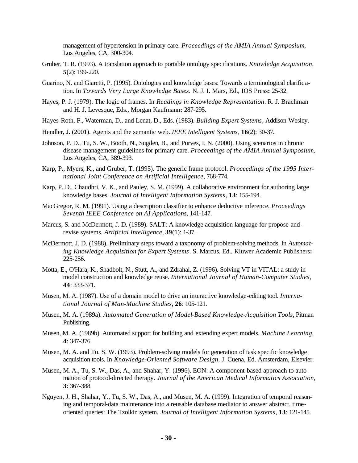management of hypertension in primary care. *Proceedings of the AMIA Annual Symposium*, Los Angeles, CA, 300-304.

- Gruber, T. R. (1993). A translation approach to portable ontology specifications. *Knowledge Acquisition*, **5**(2): 199-220.
- Guarino, N. and Giaretti, P. (1995). Ontologies and knowledge bases: Towards a terminological clarific ation. In *Towards Very Large Knowledge Bases*. N. J. I. Mars, Ed., IOS Press**:** 25-32.
- Hayes, P. J. (1979). The logic of frames. In *Readings in Knowledge Representation*. R. J. Brachman and H. J. Levesque, Eds., Morgan Kaufmann**:** 287-295.
- Hayes-Roth, F., Waterman, D., and Lenat, D., Eds. (1983). *Building Expert Systems*, Addison-Wesley.
- Hendler, J. (2001). Agents and the semantic web. *IEEE Intelligent Systems*, **16**(2): 30-37.
- Johnson, P. D., Tu, S. W., Booth, N., Sugden, B., and Purves, I. N. (2000). Using scenarios in chronic disease management guidelines for primary care. *Proceedings of the AMIA Annual Symposium*, Los Angeles, CA, 389-393.
- Karp, P., Myers, K., and Gruber, T. (1995). The generic frame protocol. *Proceedings of the 1995 International Joint Conference on Artificial Intelligence*, 768-774.
- Karp, P. D., Chaudhri, V. K., and Pauley, S. M. (1999). A collaborative environment for authoring large knowledge bases. *Journal of Intelligent Information Systems*, **13**: 155-194.
- MacGregor, R. M. (1991). Using a description classifier to enhance deductive inference. *Proceedings Seventh IEEE Conference on AI Applications*, 141-147.
- Marcus, S. and McDermott, J. D. (1989). SALT: A knowledge acquisition language for propose-andrevise systems. *Artificial Intelligence*, **39**(1): 1-37.
- McDermott, J. D. (1988). Preliminary steps toward a taxonomy of problem-solving methods. In *Automating Knowledge Acquisition for Expert Systems*. S. Marcus, Ed., Kluwer Academic Publishers**:**  225-256.
- Motta, E., O'Hara, K., Shadbolt, N., Stutt, A., and Zdrahal, Z. (1996). Solving VT in VITAL: a study in model construction and knowledge reuse. *International Journal of Human-Computer Studies*, **44**: 333-371.
- Musen, M. A. (1987). Use of a domain model to drive an interactive knowledge-editing tool. *International Journal of Man-Machine Studies*, **26**: 105-121.
- Musen, M. A. (1989a). *Automated Generation of Model-Based Knowledge-Acquisition Tools*, Pitman Publishing.
- Musen, M. A. (1989b). Automated support for building and extending expert models. *Machine Learning*, **4**: 347-376.
- Musen, M. A. and Tu, S. W. (1993). Problem-solving models for generation of task specific knowledge acquisition tools. In *Knowledge-Oriented Software Design*. J. Cuena, Ed. Amsterdam, Elsevier.
- Musen, M. A., Tu, S. W., Das, A., and Shahar, Y. (1996). EON: A component-based approach to automation of protocol-directed therapy. *Journal of the American Medical Informatics Association*, **3**: 367-388.
- Nguyen, J. H., Shahar, Y., Tu, S. W., Das, A., and Musen, M. A. (1999). Integration of temporal reasoning and temporal-data maintenance into a reusable database mediator to answer abstract, timeoriented queries: The Tzolkin system. *Journal of Intelligent Information Systems*, **13**: 121-145.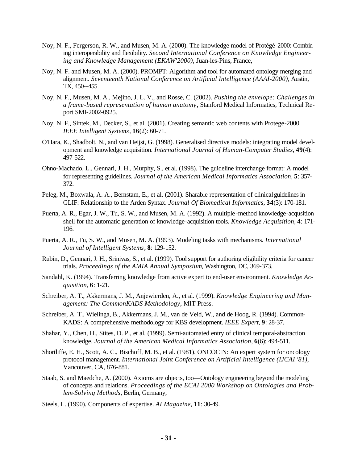- Noy, N. F., Fergerson, R. W., and Musen, M. A. (2000). The knowledge model of Protégé-2000: Combining interoperability and flexibility. *Second International Conference on Knowledge Engineering and Knowledge Management (EKAW'2000)*, Juan-les-Pins, France,
- Noy, N. F. and Musen, M. A. (2000). PROMPT: Algorithm and tool for automated ontology merging and alignment. *Seventeenth National Conference on Artificial Intelligence (AAAI-2000)*, Austin, TX, 450--455.
- Noy, N. F., Musen, M. A., Mejino, J. L. V., and Rosse, C. (2002). *Pushing the envelope: Challenges in a frame-based representation of human anatomy*, Stanford Medical Informatics, Technical Report SMI-2002-0925.
- Noy, N. F., Sintek, M., Decker, S., et al. (2001). Creating semantic web contents with Protege-2000. *IEEE Intelligent Systems*, **16**(2): 60-71.
- O'Hara, K., Shadbolt, N., and van Heijst, G. (1998). Generalised directive models: integrating model development and knowledge acquisition. *International Journal of Human-Computer Studies*, **49**(4): 497-522.
- Ohno-Machado, L., Gennari, J. H., Murphy, S., et al. (1998). The guideline interchange format: A model for representing guidelines. *Journal of the American Medical Informatics Association*, **5**: 357- 372.
- Peleg, M., Boxwala, A. A., Bernstam, E., et al. (2001). Sharable representation of clinical guidelines in GLIF: Relationship to the Arden Syntax. *Journal Of Biomedical Informatics*, **34**(3): 170-181.
- Puerta, A. R., Egar, J. W., Tu, S. W., and Musen, M. A. (1992). A multiple -method knowledge-acqusition shell for the automatic generation of knowledge-acquisition tools. *Knowledge Acquisition*, **4**: 171- 196.
- Puerta, A. R., Tu, S. W., and Musen, M. A. (1993). Modeling tasks with mechanisms. *International Journal of Intelligent Systems*, **8**: 129-152.
- Rubin, D., Gennari, J. H., Srinivas, S., et al. (1999). Tool support for authoring eligibility criteria for cancer trials. *Proceedings of the AMIA Annual Symposium*, Washington, DC, 369-373.
- Sandahl, K. (1994). Transferring knowledge from active expert to end-user environment. *Knowledge Acquisition*, **6**: 1-21.
- Schreiber, A. T., Akkermans, J. M., Anjewierden, A., et al. (1999). *Knowledge Engineering and Management: The CommonKADS Methodology*, MIT Press.
- Schreiber, A. T., Wielinga, B., Akkermans, J. M., van de Veld, W., and de Hoog, R. (1994). Common-KADS: A comprehensive methodology for KBS development. *IEEE Expert*, **9**: 28-37.
- Shahar, Y., Chen, H., Stites, D. P., et al. (1999). Semi-automated entry of clinical temporal-abstraction knowledge. *Journal of the American Medical Informatics Association*, **6**(6): 494-511.
- Shortliffe, E. H., Scott, A. C., Bischoff, M. B., et al. (1981). ONCOCIN: An expert system for oncology protocol management. *International Joint Conference on Artificial Intelligence (IJCAI '81)*, Vancouver, CA, 876-881.
- Staab, S. and Maedche, A. (2000). Axioms are objects, too—Ontology engineering beyond the modeling of concepts and relations. *Proceedings of the ECAI 2000 Workshop on Ontologies and Problem-Solving Methods*, Berlin, Germany,
- Steels, L. (1990). Components of expertise. *AI Magazine*, **11**: 30-49.